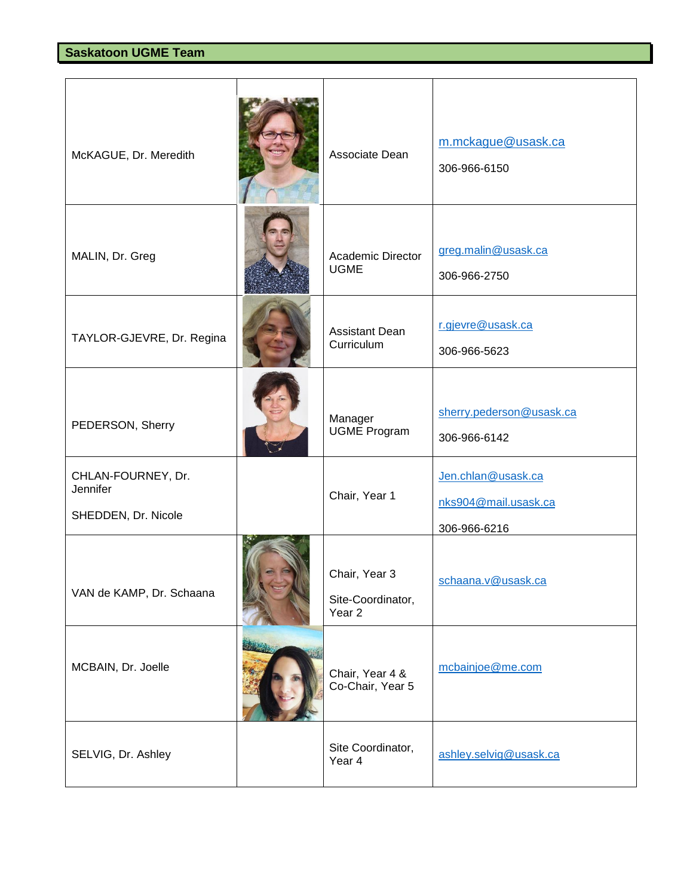| McKAGUE, Dr. Meredith                                 | Associate Dean                                          | m.mckague@usask.ca<br>306-966-6150                         |
|-------------------------------------------------------|---------------------------------------------------------|------------------------------------------------------------|
| MALIN, Dr. Greg                                       | <b>Academic Director</b><br><b>UGME</b>                 | greg.malin@usask.ca<br>306-966-2750                        |
| TAYLOR-GJEVRE, Dr. Regina                             | <b>Assistant Dean</b><br>Curriculum                     | r.gjevre@usask.ca<br>306-966-5623                          |
| PEDERSON, Sherry                                      | Manager<br><b>UGME Program</b>                          | sherry.pederson@usask.ca<br>306-966-6142                   |
| CHLAN-FOURNEY, Dr.<br>Jennifer<br>SHEDDEN, Dr. Nicole | Chair, Year 1                                           | Jen.chlan@usask.ca<br>nks904@mail.usask.ca<br>306-966-6216 |
| VAN de KAMP, Dr. Schaana                              | Chair, Year 3<br>Site-Coordinator,<br>Year <sub>2</sub> | schaana.v@usask.ca                                         |
| MCBAIN, Dr. Joelle                                    | Chair, Year 4 &<br>Co-Chair, Year 5                     | mcbainjoe@me.com                                           |
| SELVIG, Dr. Ashley                                    | Site Coordinator,<br>Year 4                             | ashley.selvig@usask.ca                                     |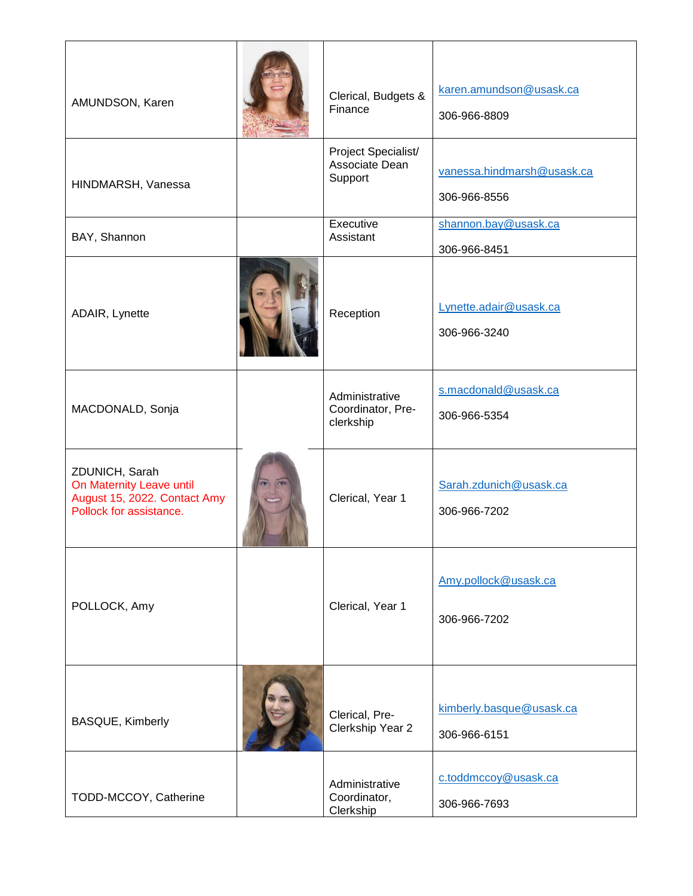| AMUNDSON, Karen                                                                                       | Clerical, Budgets &<br>Finance                   | karen.amundson@usask.ca<br>306-966-8809    |
|-------------------------------------------------------------------------------------------------------|--------------------------------------------------|--------------------------------------------|
| HINDMARSH, Vanessa                                                                                    | Project Specialist/<br>Associate Dean<br>Support | vanessa.hindmarsh@usask.ca<br>306-966-8556 |
| BAY, Shannon                                                                                          | Executive<br>Assistant                           | shannon.bay@usask.ca<br>306-966-8451       |
| ADAIR, Lynette                                                                                        | Reception                                        | Lynette.adair@usask.ca<br>306-966-3240     |
| MACDONALD, Sonja                                                                                      | Administrative<br>Coordinator, Pre-<br>clerkship | s.macdonald@usask.ca<br>306-966-5354       |
| ZDUNICH, Sarah<br>On Maternity Leave until<br>August 15, 2022. Contact Amy<br>Pollock for assistance. | Clerical, Year 1                                 | Sarah.zdunich@usask.ca<br>306-966-7202     |
| POLLOCK, Amy                                                                                          | Clerical, Year 1                                 | Amy.pollock@usask.ca<br>306-966-7202       |
| <b>BASQUE, Kimberly</b>                                                                               | Clerical, Pre-<br>Clerkship Year 2               | kimberly.basque@usask.ca<br>306-966-6151   |
| TODD-MCCOY, Catherine                                                                                 | Administrative<br>Coordinator,<br>Clerkship      | c.toddmccoy@usask.ca<br>306-966-7693       |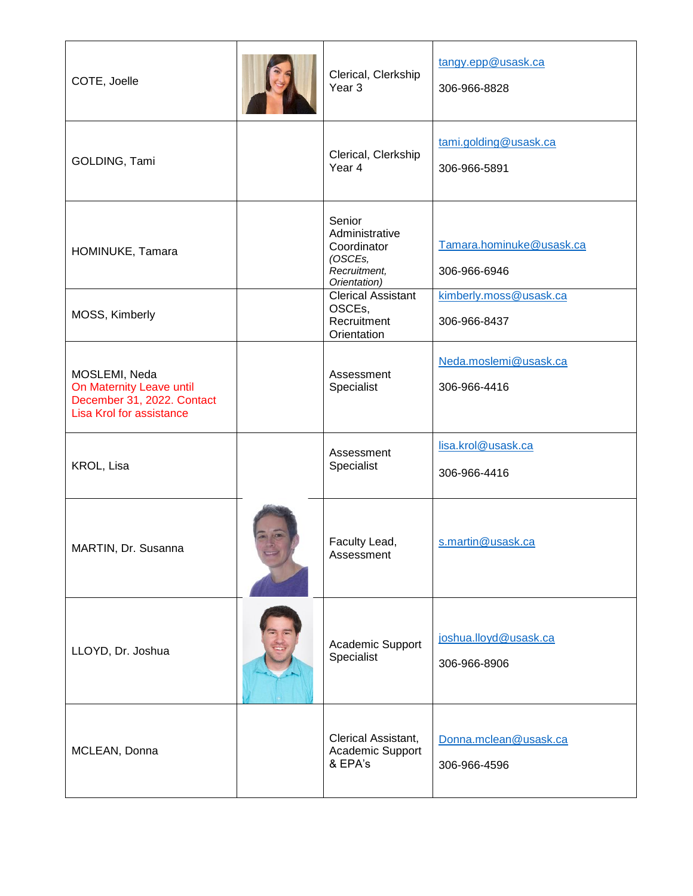| COTE, Joelle                                                                                        | Clerical, Clerkship<br>Year <sub>3</sub>                                           | tangy.epp@usask.ca<br>306-966-8828       |
|-----------------------------------------------------------------------------------------------------|------------------------------------------------------------------------------------|------------------------------------------|
| GOLDING, Tami                                                                                       | Clerical, Clerkship<br>Year 4                                                      | tami.golding@usask.ca<br>306-966-5891    |
| HOMINUKE, Tamara                                                                                    | Senior<br>Administrative<br>Coordinator<br>(OSCEs,<br>Recruitment,<br>Orientation) | Tamara.hominuke@usask.ca<br>306-966-6946 |
| MOSS, Kimberly                                                                                      | <b>Clerical Assistant</b><br>OSCEs,<br>Recruitment<br>Orientation                  | kimberly.moss@usask.ca<br>306-966-8437   |
| MOSLEMI, Neda<br>On Maternity Leave until<br>December 31, 2022. Contact<br>Lisa Krol for assistance | Assessment<br>Specialist                                                           | Neda.moslemi@usask.ca<br>306-966-4416    |
| KROL, Lisa                                                                                          | Assessment<br>Specialist                                                           | lisa.krol@usask.ca<br>306-966-4416       |
| MARTIN, Dr. Susanna                                                                                 | Faculty Lead,<br>Assessment                                                        | s.martin@usask.ca                        |
| LLOYD, Dr. Joshua                                                                                   | Academic Support<br>Specialist                                                     | joshua.lloyd@usask.ca<br>306-966-8906    |
| MCLEAN, Donna                                                                                       | Clerical Assistant,<br>Academic Support<br>& EPA's                                 | Donna.mclean@usask.ca<br>306-966-4596    |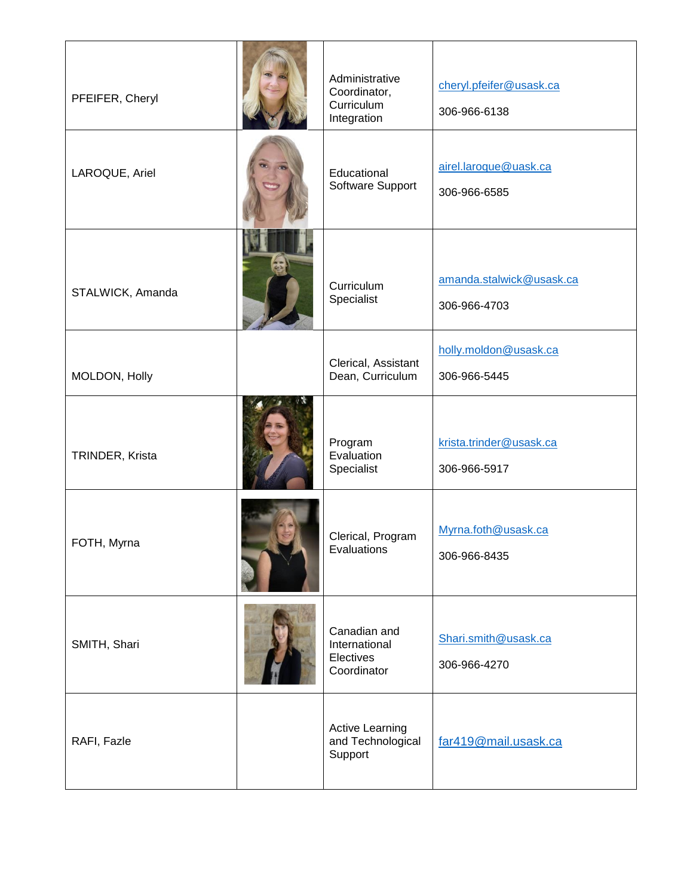| PFEIFER, Cheryl  | Administrative<br>Coordinator,<br>Curriculum<br>Integration | cheryl.pfeifer@usask.ca<br>306-966-6138  |
|------------------|-------------------------------------------------------------|------------------------------------------|
| LAROQUE, Ariel   | Educational<br>Software Support                             | airel.laroque@uask.ca<br>306-966-6585    |
| STALWICK, Amanda | Curriculum<br>Specialist                                    | amanda.stalwick@usask.ca<br>306-966-4703 |
| MOLDON, Holly    | Clerical, Assistant<br>Dean, Curriculum                     | holly.moldon@usask.ca<br>306-966-5445    |
| TRINDER, Krista  | Program<br>Evaluation<br>Specialist                         | krista.trinder@usask.ca<br>306-966-5917  |
| FOTH, Myrna      | Clerical, Program<br>Evaluations                            | Myrna.foth@usask.ca<br>306-966-8435      |
| SMITH, Shari     | Canadian and<br>International<br>Electives<br>Coordinator   | Shari.smith@usask.ca<br>306-966-4270     |
| RAFI, Fazle      | <b>Active Learning</b><br>and Technological<br>Support      | far419@mail.usask.ca                     |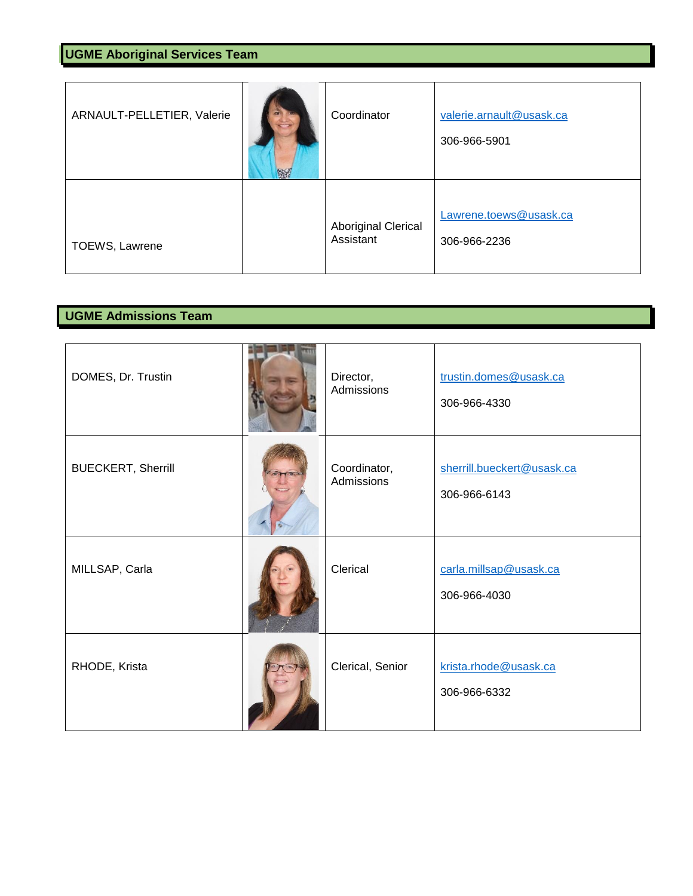| ARNAULT-PELLETIER, Valerie | 图 | Coordinator                      | valerie.arnault@usask.ca<br>306-966-5901 |
|----------------------------|---|----------------------------------|------------------------------------------|
| TOEWS, Lawrene             |   | Aboriginal Clerical<br>Assistant | Lawrene.toews@usask.ca<br>306-966-2236   |

## **UGME Admissions Team**

| DOMES, Dr. Trustin        | Director,<br>Admissions    | trustin.domes@usask.ca<br>306-966-4330     |
|---------------------------|----------------------------|--------------------------------------------|
| <b>BUECKERT, Sherrill</b> | Coordinator,<br>Admissions | sherrill.bueckert@usask.ca<br>306-966-6143 |
| MILLSAP, Carla            | Clerical                   | carla.millsap@usask.ca<br>306-966-4030     |
| RHODE, Krista             | Clerical, Senior           | krista.rhode@usask.ca<br>306-966-6332      |